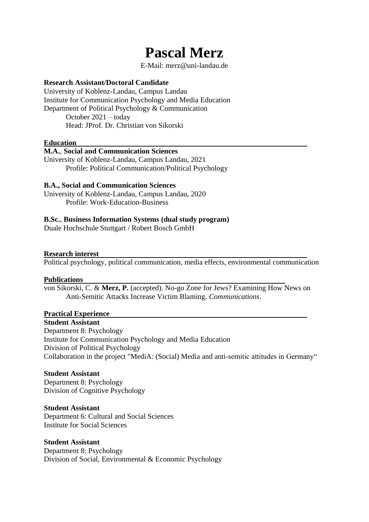# **Pascal Merz**

E-Mail: merz@uni-landau.de

# **Research Assistant/Doctoral Candidate**

University of Koblenz-Landau, Campus Landau Institute for Communication Psychology and Media Education Department of Political Psychology & Communication October 2021 – today Head: JProf. Dr. Christian von Sikorski

## **Education**

#### **M.A.**, **Social and Communication Sciences**

University of Koblenz-Landau, Campus Landau, 2021 Profile: Political Communication/Political Psychology

## **B.A., Social and Communication Sciences**

University of Koblenz-Landau, Campus Landau, 2020 Profile: Work-Education-Business

#### **B.Sc.**, **Business Information Systems (dual study program)**

Duale Hochschule Stuttgart / Robert Bosch GmbH

#### **Research interest**

Political psychology, political communication, media effects, environmental communication

#### **Publications**

von Sikorski, C. & **Merz, P.** (accepted). No-go Zone for Jews? Examining How News on Anti-Semitic Attacks Increase Victim Blaming. *Communications*.

## **Practical Experience**

**Student Assistant**

Department 8: Psychology Institute for Communication Psychology and Media Education Division of Political Psychology Collaboration in the project "MediA: (Social) Media and anti-semitic attitudes in Germany"

## **Student Assistant**

Department 8: Psychology Division of Cognitive Psychology

## **Student Assistant**

Department 6: Cultural and Social Sciences Institute for Social Sciences

#### **Student Assistant**

Department 8: Psychology Division of Social, Environmental & Economic Psychology